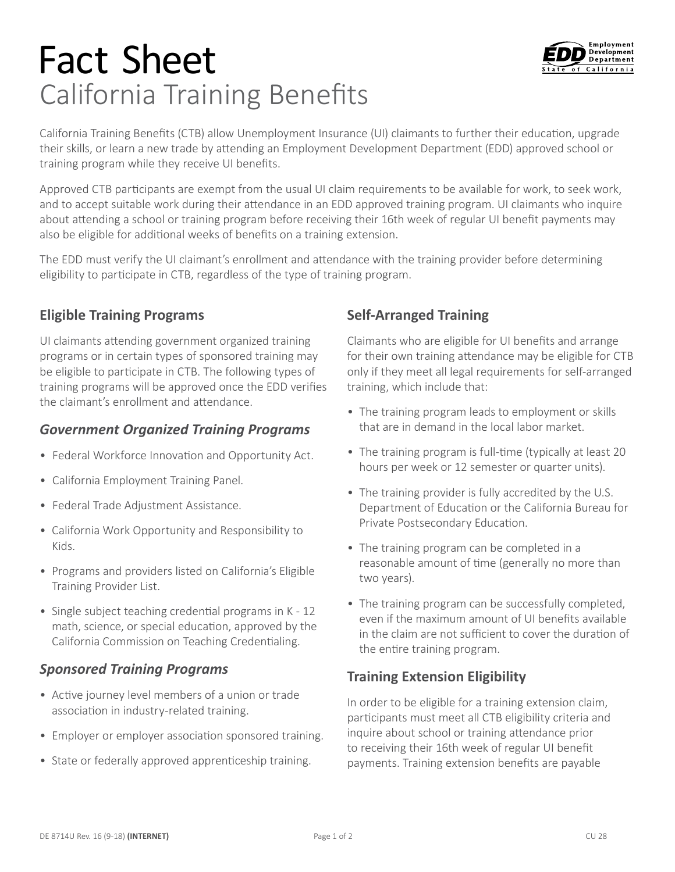# Fact Sheet California Training Benefits



California Training Benefits (CTB) allow Unemployment Insurance (UI) claimants to further their education, upgrade their skills, or learn a new trade by attending an Employment Development Department (EDD) approved school or training program while they receive UI benefits.

Approved CTB participants are exempt from the usual UI claim requirements to be available for work, to seek work, and to accept suitable work during their attendance in an EDD approved training program. UI claimants who inquire about attending a school or training program before receiving their 16th week of regular UI benefit payments may also be eligible for additional weeks of benefits on a training extension.

The EDD must verify the UI claimant's enrollment and attendance with the training provider before determining eligibility to participate in CTB, regardless of the type of training program.

## **Eligible Training Programs**

UI claimants attending government organized training programs or in certain types of sponsored training may be eligible to participate in CTB. The following types of training programs will be approved once the EDD verifies the claimant's enrollment and attendance.

# *Government Organized Training Programs*

- Federal Workforce Innovation and Opportunity Act.
- California Employment Training Panel.
- Federal Trade Adjustment Assistance.
- California Work Opportunity and Responsibility to Kids.
- Programs and providers listed on California's Eligible Training Provider List.
- California Commission on Teaching Credentialing. • Single subject teaching credential programs in K - 12 math, science, or special education, approved by the

## *Sponsored Training Programs*

- association in industry-related training. • Active journey level members of a union or trade
- Employer or employer association sponsored training.
- State or federally approved apprenticeship training.

# **Self-Arranged Training**

Claimants who are eligible for UI benefits and arrange for their own training attendance may be eligible for CTB only if they meet all legal requirements for self-arranged training, which include that:

- The training program leads to employment or skills that are in demand in the local labor market.
- The training program is full-time (typically at least 20 hours per week or 12 semester or quarter units).
- The training provider is fully accredited by the U.S. Department of Education or the California Bureau for Private Postsecondary Education.
- The training program can be completed in a reasonable amount of time (generally no more than two years).
- The training program can be successfully completed, even if the maximum amount of UI benefits available in the claim are not sufficient to cover the duration of the entire training program.

# **Training Extension Eligibility**

In order to be eligible for a training extension claim, participants must meet all CTB eligibility criteria and inquire about school or training attendance prior to receiving their 16th week of regular UI benefit payments. Training extension benefits are payable